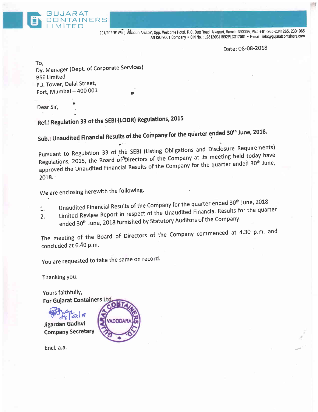

201/202, B' Wing 'Ålkapuri Arcade', Opp. Welcome Hotel, R.C. Dutt Road, Alkapuri, Baroda-390005, Ph.: +91-265-2341265, 2331965 AN ISO 9001 Company . CIN No.: L28120GJ1992PLC017081 . E-mail: info@gujaratcontainers.com

Date: 08-08-2018

To, Dy. Manager (Dept. of Corporate Services) BSE Limited P.J. Tower, Dalal Street, Fort, Mumbai  $-400001$ 

Dear Sir,

Ref.: Regulation 33 of the SEBI {LODR) Regulations, 2015

Sub.: Unaudited Financial Results of the Company for the quarter ended 30<sup>th</sup> June, 2018.

pursuant to Regulation 33 of the SEBI (Listing Obligations and Disclosure Requirements) Regulations, 2015, the Board of Directors of the Company at its meeting held today have approved the Unaudited Financial Results of the Company for the quarter ended 30<sup>th</sup> June, 2018.

We are enclosing herewith the following.

- 1. Unaudited Financial Results of the Company for the quarter ended 30<sup>th</sup> June, 2018.
- 2. Limited Review Report in respect of the Unaudited Financial Results for the quarter
- ended 30<sup>th</sup> June, 2018 furnished by Statutory Auditors of the Company.

The meeting of the Board of Directors of the Company commenced at 4.30 p.m. and concluded at 6.40 p.m.

You are requested to take the same on record.

Thanking You,

Yours faithfullY, For Gujarat Containers Ltg

**Futbollis**<br>Jigardan Gadhvi **Company Secretary** 

Encl. a.a.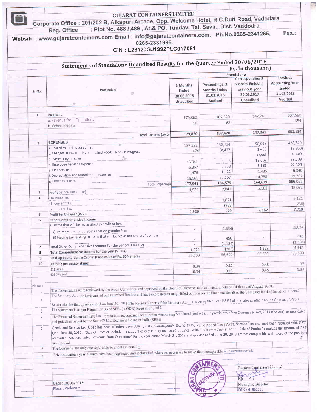|                | : Plot No. 488 / 489, At.& PO. Tundav, Tal. Savli., Dist. Vaddodra<br>Reg. Office<br>Website: www.gujaratcontainers.com Email: info@gujaratcontainers.com, Ph.No.0265-2341265,<br>0265-2331965.<br>CIN: L28120GJ1992PLC017081                                                                                                                  |                          |                                      |                                           | Fax.:                                         |  |
|----------------|------------------------------------------------------------------------------------------------------------------------------------------------------------------------------------------------------------------------------------------------------------------------------------------------------------------------------------------------|--------------------------|--------------------------------------|-------------------------------------------|-----------------------------------------------|--|
|                | Statements of Standalone Unaudited Results for the Quarter Ended 30/06/2018                                                                                                                                                                                                                                                                    |                          |                                      |                                           |                                               |  |
|                | (Rs. In thousand)                                                                                                                                                                                                                                                                                                                              |                          |                                      |                                           |                                               |  |
|                |                                                                                                                                                                                                                                                                                                                                                |                          |                                      | Standalone<br>Previous<br>Corresponding 3 |                                               |  |
| Sr.No.         | Particulars<br>D                                                                                                                                                                                                                                                                                                                               | 3 Months<br>Ended        | Preceedings 3<br><b>Months Ended</b> | Months Ended in<br>previous year          | <b>Accounting Year</b><br>ended<br>31.03.2018 |  |
|                | ×                                                                                                                                                                                                                                                                                                                                              | 30.06.2018<br>Unaudited  | 31.03.2018<br>Audited                | 30.06.2017<br>Unaudited                   | Audited                                       |  |
|                |                                                                                                                                                                                                                                                                                                                                                |                          |                                      |                                           |                                               |  |
| $1\,$          | <b>INCOMES</b>                                                                                                                                                                                                                                                                                                                                 |                          |                                      |                                           | 607,580                                       |  |
|                | a. Revenue from Operations                                                                                                                                                                                                                                                                                                                     | 179,860                  | 187,330                              | 147,241                                   | 554                                           |  |
|                | b. Other Income                                                                                                                                                                                                                                                                                                                                | 10                       | 90                                   |                                           |                                               |  |
|                |                                                                                                                                                                                                                                                                                                                                                |                          |                                      |                                           | 608,134                                       |  |
|                | Total Income (a+b)                                                                                                                                                                                                                                                                                                                             | 179,870                  | 187,420                              | 147,241                                   |                                               |  |
|                | <b>EXPENSES</b>                                                                                                                                                                                                                                                                                                                                |                          |                                      |                                           | 438,740                                       |  |
| $\mathbf{2}$   | a. Cost of materials consumed                                                                                                                                                                                                                                                                                                                  | 137,522                  | 138,734                              | 90,098                                    |                                               |  |
|                | b. Changes in inventories of finished goods, Work in Progress                                                                                                                                                                                                                                                                                  | $-474$                   | (8, 427)                             | 1,453                                     | (8,808)                                       |  |
|                | c. Exicse Duty on sales                                                                                                                                                                                                                                                                                                                        | $\sim$                   | υ                                    | 18,683                                    | 18,683                                        |  |
|                | d. Employee benefits expense                                                                                                                                                                                                                                                                                                                   | 15,041                   | 13,836                               | 12,687                                    | 39,309                                        |  |
|                |                                                                                                                                                                                                                                                                                                                                                | 5,367                    | 5,858                                | 5,585                                     | 22,323                                        |  |
|                | e. Finance costs                                                                                                                                                                                                                                                                                                                               | 1,476                    | 1,422                                | 1,435                                     | 6,040                                         |  |
|                | f. Depreciation and amortization expense                                                                                                                                                                                                                                                                                                       | 18,061                   | 33,157                               | 14,738                                    | 79,767                                        |  |
|                | g. Other expenses<br><b>Total Expenses</b>                                                                                                                                                                                                                                                                                                     | 177,941                  | 184,579                              | 144,679                                   | 596,053                                       |  |
|                |                                                                                                                                                                                                                                                                                                                                                | 1,929                    | 2,841                                | 2,562                                     | 12,082                                        |  |
| 3              | Profit before Tax (III-IV)                                                                                                                                                                                                                                                                                                                     |                          |                                      |                                           |                                               |  |
| 4              | Tax expense:                                                                                                                                                                                                                                                                                                                                   | $\sim$                   | 2,621                                | $\sim$                                    | 5,121                                         |  |
|                | (1) Current tax                                                                                                                                                                                                                                                                                                                                |                          | (758)                                |                                           | (758)                                         |  |
|                | (2) Defered tax                                                                                                                                                                                                                                                                                                                                | 1,929                    | 979                                  | 2,562                                     | 7,719                                         |  |
| 5              | Profit for the year (V-VI)                                                                                                                                                                                                                                                                                                                     |                          |                                      |                                           |                                               |  |
| 6              | Other Comprehensive Income                                                                                                                                                                                                                                                                                                                     |                          |                                      |                                           |                                               |  |
|                | a. Items that will be reclassified to profit or loss                                                                                                                                                                                                                                                                                           |                          |                                      |                                           | (1,634)                                       |  |
|                | i) Re-measurement of gain/ Loss on gratuity Plan                                                                                                                                                                                                                                                                                               |                          | (1,634)                              |                                           |                                               |  |
|                | ii) Income tax relating to items that will be reclassified to profit or loss                                                                                                                                                                                                                                                                   |                          | 450                                  |                                           | 450                                           |  |
|                |                                                                                                                                                                                                                                                                                                                                                |                          | (1, 184)                             |                                           | (1, 184)                                      |  |
| $\overline{ }$ | Total Other Comprehensive Incomes for the period (XIII+XIV)                                                                                                                                                                                                                                                                                    | $\overline{\phantom{a}}$ | (206)                                | 2,562                                     | 6,534                                         |  |
| 8              | Total Comprehensive Income for the year (VII+IX)                                                                                                                                                                                                                                                                                               | 1,929                    |                                      | 56,500                                    | 56,500                                        |  |
| 9              | Paid up Equity Sahre Capital (Face value of Rs. 10/-share)                                                                                                                                                                                                                                                                                     | 56,500                   | 56,500                               |                                           |                                               |  |
| 10             | Earning per equity share:                                                                                                                                                                                                                                                                                                                      |                          |                                      | 0.45                                      | 1.37                                          |  |
|                | $(1)$ Basic                                                                                                                                                                                                                                                                                                                                    | 0.34                     | 0.17                                 | 0.45                                      | 1.37                                          |  |
|                | (2) Diluted                                                                                                                                                                                                                                                                                                                                    | 0.34                     | 0.17                                 |                                           |                                               |  |
|                |                                                                                                                                                                                                                                                                                                                                                |                          |                                      |                                           |                                               |  |
| Notes:         |                                                                                                                                                                                                                                                                                                                                                |                          |                                      |                                           |                                               |  |
| $\mathbf{1}$   | The above results were reviewed by the Audit Committee and approved by the Board of Directors at their meeting held on 04 th day of August, 2018.                                                                                                                                                                                              |                          |                                      |                                           |                                               |  |
|                | The Statutory Auditor have carried out a Limited Review and have expressed an unqualified opinion on the Financial Result of the Company for the Unaudited Financial                                                                                                                                                                           |                          |                                      |                                           |                                               |  |
| $\overline{2}$ | Results for the first quarter ended on June 30, 2018. The Review Report of the Statutory Auditor is being filed with BSE Ltd. and also available on the Company Website.                                                                                                                                                                       |                          |                                      |                                           |                                               |  |
| 3              | The Statement is as per Regualtion 33 of SEBI ( LODR) Regulation , 2015.                                                                                                                                                                                                                                                                       |                          |                                      |                                           |                                               |  |
| $\overline{4}$ | The Financial Statement have been prepare in accourdance with Indian Accounting Standared (Ind AS), the provisions of the Companies Act, 2013 (the Act), as applicable                                                                                                                                                                         |                          |                                      |                                           |                                               |  |
|                | and guideline issued by the Security and Exchange Board of India (SEBI)                                                                                                                                                                                                                                                                        |                          |                                      |                                           |                                               |  |
| 5              | Goods and Service tax (GST) has been effective from July 1, 2017. Consequently Excise Duty, Value Added Tax (VAT), Service Tax etc. have been replaced with GST.                                                                                                                                                                               |                          |                                      |                                           |                                               |  |
|                | Until June 30, 2017, 'Sale of Product' include the amount of excise duty recovered on sales. With effect from July 1, 2017, 'Sale of Product' exculude the amount of GST<br>recovered. Accourdingly, 'Revenue from Operations' for the year ended March 31, 2018 and quarter ended June 30, 2018 are not comparable with those of the previons |                          |                                      |                                           |                                               |  |
|                | year/ period.<br>The Company has only one reportable segment i.e. packing.                                                                                                                                                                                                                                                                     |                          |                                      |                                           |                                               |  |
| 6              | Privous quarter / year figures have been regrouped and reclassified wherever necessary to make them comparable with current period.                                                                                                                                                                                                            |                          |                                      |                                           |                                               |  |
| 7              |                                                                                                                                                                                                                                                                                                                                                |                          |                                      |                                           |                                               |  |
|                |                                                                                                                                                                                                                                                                                                                                                |                          |                                      | οf                                        |                                               |  |
|                |                                                                                                                                                                                                                                                                                                                                                |                          |                                      | Gujarat Containers Limited                |                                               |  |
|                |                                                                                                                                                                                                                                                                                                                                                |                          |                                      |                                           |                                               |  |
|                |                                                                                                                                                                                                                                                                                                                                                |                          | ĕ                                    | Kiran Shah                                |                                               |  |
|                | Date: 08/08/2018                                                                                                                                                                                                                                                                                                                               |                          |                                      | <b>Managing Director</b>                  |                                               |  |
|                | Place: Vadodara                                                                                                                                                                                                                                                                                                                                |                          |                                      | DIN: 01862236                             |                                               |  |
|                |                                                                                                                                                                                                                                                                                                                                                |                          |                                      |                                           |                                               |  |